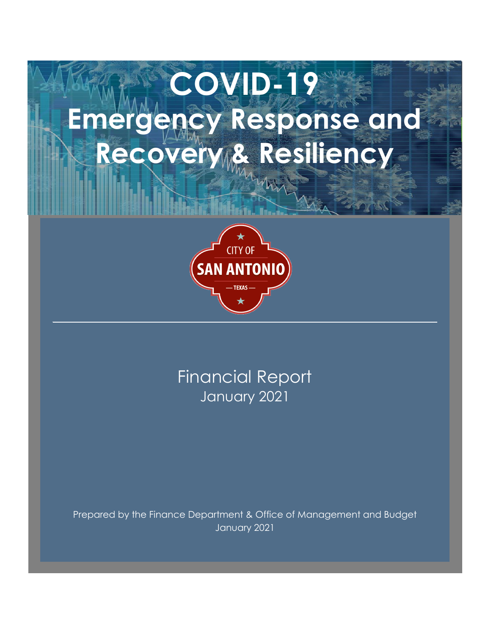# **COVID-19 Emergency Response and Recovery & Resiliency**



January 2021 Financial Report

Prepared by the Finance Department & Office of Management and Budget January 2021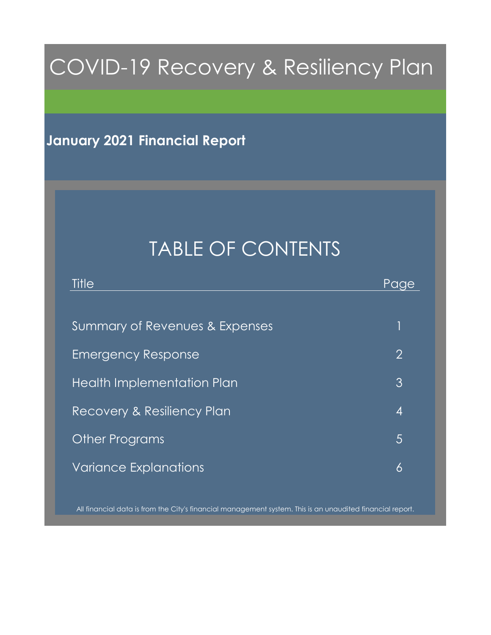## COVID-19 Recovery & Resiliency Plan

#### **January 2021 Financial Report**

## TABLE OF CONTENTS

| Title                                 | Paae             |
|---------------------------------------|------------------|
|                                       |                  |
| Summary of Revenues & Expenses        |                  |
| <b>Emergency Response</b>             | $\overline{2}$   |
| <b>Health Implementation Plan</b>     | $\mathfrak{Z}$   |
| <b>Recovery &amp; Resiliency Plan</b> | $\boldsymbol{4}$ |
| <b>Other Programs</b>                 | 5                |
| <b>Variance Explanations</b>          | 6                |
|                                       |                  |

All financial data is from the City's financial management system. This is an unaudited financial report.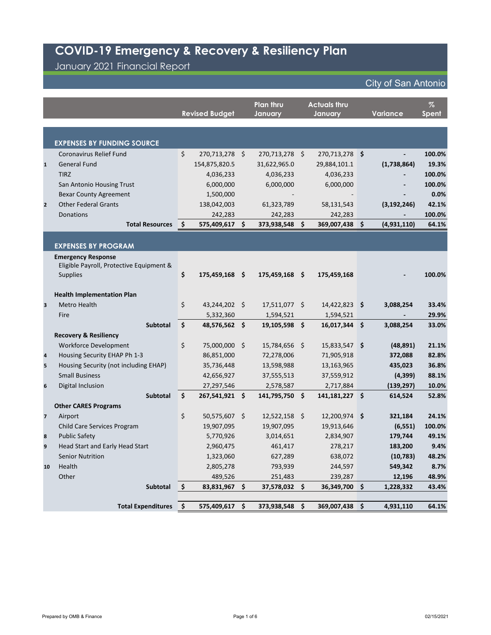## **COVID-19 Emergency & Recovery & Resiliency Plan**

January 2021 Financial Report

|                         |                                          |                    | <b>Revised Budget</b> | <b>Plan thru</b><br>January |         | <b>Actuals thru</b><br>January | <b>Variance</b> | $\%$<br>Spent |
|-------------------------|------------------------------------------|--------------------|-----------------------|-----------------------------|---------|--------------------------------|-----------------|---------------|
|                         |                                          |                    |                       |                             |         |                                |                 |               |
|                         |                                          |                    |                       |                             |         |                                |                 |               |
|                         | <b>EXPENSES BY FUNDING SOURCE</b>        |                    |                       |                             |         |                                |                 |               |
|                         | Coronavirus Relief Fund                  | \$                 | 270,713,278 \$        | 270,713,278 \$              |         | 270,713,278 \$                 |                 | 100.0%        |
| $\mathbf{1}$            | <b>General Fund</b>                      |                    | 154,875,820.5         | 31,622,965.0                |         | 29,884,101.1                   | (1,738,864)     | 19.3%         |
|                         | <b>TIRZ</b>                              |                    | 4,036,233             | 4,036,233                   |         | 4,036,233                      |                 | 100.0%        |
|                         | San Antonio Housing Trust                |                    | 6,000,000             | 6,000,000                   |         | 6,000,000                      |                 | 100.0%        |
|                         | <b>Bexar County Agreement</b>            |                    | 1,500,000             |                             |         |                                |                 | 0.0%          |
| $\overline{2}$          | <b>Other Federal Grants</b>              |                    | 138,042,003           | 61,323,789                  |         | 58,131,543                     | (3, 192, 246)   | 42.1%         |
|                         | Donations                                |                    | 242,283               | 242,283                     |         | 242,283                        |                 | 100.0%        |
|                         | <b>Total Resources</b>                   | \$                 | 575,409,617           | \$<br>373,938,548           | $\zeta$ | 369,007,438 \$                 | (4,931,110)     | 64.1%         |
|                         |                                          |                    |                       |                             |         |                                |                 |               |
|                         | <b>EXPENSES BY PROGRAM</b>               |                    |                       |                             |         |                                |                 |               |
|                         | <b>Emergency Response</b>                |                    |                       |                             |         |                                |                 |               |
|                         | Eligible Payroll, Protective Equipment & |                    |                       |                             |         |                                |                 |               |
|                         | <b>Supplies</b>                          | \$                 | 175,459,168 \$        | 175,459,168 \$              |         | 175,459,168                    |                 | 100.0%        |
|                         |                                          |                    |                       |                             |         |                                |                 |               |
|                         | <b>Health Implementation Plan</b>        |                    |                       |                             |         |                                |                 |               |
| 3                       | Metro Health                             | \$                 | 43,244,202 \$         | 17,511,077 \$               |         | $14,422,823$ \$                | 3,088,254       | 33.4%         |
|                         | Fire                                     |                    | 5,332,360             | 1,594,521                   |         | 1,594,521                      |                 | 29.9%         |
|                         | <b>Subtotal</b>                          | $\zeta$            | 48,576,562 \$         | 19,105,598 \$               |         | 16,017,344 \$                  | 3,088,254       | 33.0%         |
|                         | <b>Recovery &amp; Resiliency</b>         |                    |                       |                             |         |                                |                 |               |
|                         | Workforce Development                    | \$                 | 75,000,000 \$         | 15,784,656 \$               |         | 15,833,547 \$                  | (48, 891)       | 21.1%         |
| 4                       | Housing Security EHAP Ph 1-3             |                    | 86,851,000            | 72,278,006                  |         | 71,905,918                     | 372,088         | 82.8%         |
| 5                       | Housing Security (not including EHAP)    |                    | 35,736,448            | 13,598,988                  |         | 13,163,965                     | 435,023         | 36.8%         |
|                         | <b>Small Business</b>                    |                    | 42,656,927            | 37,555,513                  |         | 37,559,912                     | (4, 399)        | 88.1%         |
| $\boldsymbol{6}$        | Digital Inclusion                        |                    | 27,297,546            | 2,578,587                   |         | 2,717,884                      | (139, 297)      | 10.0%         |
|                         | Subtotal                                 | $\dot{\mathsf{S}}$ | 267,541,921 \$        | 141,795,750 \$              |         | $141,181,227$ \$               | 614,524         | 52.8%         |
|                         | <b>Other CARES Programs</b>              |                    |                       |                             |         |                                |                 |               |
| $\overline{\mathbf{z}}$ | Airport                                  | \$                 | 50,575,607 \$         | $12,522,158$ \$             |         | 12,200,974 \$                  | 321,184         | 24.1%         |
|                         | <b>Child Care Services Program</b>       |                    | 19,907,095            | 19,907,095                  |         | 19,913,646                     | (6, 551)        | 100.0%        |
| 8                       | <b>Public Safety</b>                     |                    | 5,770,926             | 3,014,651                   |         | 2,834,907                      | 179,744         | 49.1%         |
| 9                       | Head Start and Early Head Start          |                    | 2,960,475             | 461,417                     |         | 278,217                        | 183,200         | 9.4%          |
|                         | <b>Senior Nutrition</b>                  |                    | 1,323,060             | 627,289                     |         | 638,072                        | (10, 783)       | 48.2%         |
| 10                      | Health                                   |                    | 2,805,278             | 793,939                     |         | 244,597                        | 549,342         | 8.7%          |
|                         | Other                                    |                    | 489,526               | 251,483                     |         | 239,287                        | 12,196          | 48.9%         |
|                         | Subtotal                                 | $\vert$ \$         | 83,831,967 \$         | 37,578,032 \$               |         | 36,349,700 \$                  | 1,228,332       | 43.4%         |
|                         |                                          |                    |                       |                             |         |                                |                 |               |
|                         | <b>Total Expenditures</b>                | $\vert$ \$         | 575,409,617 \$        | 373,938,548 \$              |         | 369,007,438 \$                 | 4,931,110       | 64.1%         |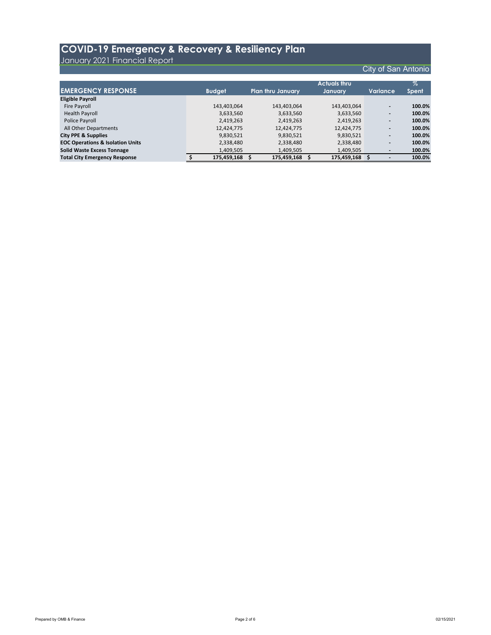|                                             |               |                          | <b>Actuals thru</b> |                          | $\%$   |
|---------------------------------------------|---------------|--------------------------|---------------------|--------------------------|--------|
| <b>EMERGENCY RESPONSE</b>                   | <b>Budget</b> | <b>Plan thru January</b> | January             | <b>Variance</b>          | Spent  |
| <b>Eligible Payroll</b>                     |               |                          |                     |                          |        |
| Fire Payroll                                | 143,403,064   | 143,403,064              | 143,403,064         | $\blacksquare$           | 100.0% |
| <b>Health Payroll</b>                       | 3,633,560     | 3,633,560                | 3,633,560           | $\blacksquare$           | 100.0% |
| Police Payroll                              | 2,419,263     | 2,419,263                | 2,419,263           | $\blacksquare$           | 100.0% |
| All Other Departments                       | 12,424,775    | 12,424,775               | 12,424,775          | $\blacksquare$           | 100.0% |
| <b>City PPE &amp; Supplies</b>              | 9,830,521     | 9,830,521                | 9,830,521           | $\blacksquare$           | 100.0% |
| <b>EOC Operations &amp; Isolation Units</b> | 2,338,480     | 2,338,480                | 2,338,480           | $\blacksquare$           | 100.0% |
| <b>Solid Waste Excess Tonnage</b>           | 1,409,505     | 1,409,505                | 1,409,505           | $\blacksquare$           | 100.0% |
| <b>Total City Emergency Response</b>        | 175,459,168   | 175,459,168              | 175,459,168         | $\overline{\phantom{0}}$ | 100.0% |

#### **COVID-19 Emergency & Recovery & Resiliency Plan**

January 2021 Financial Report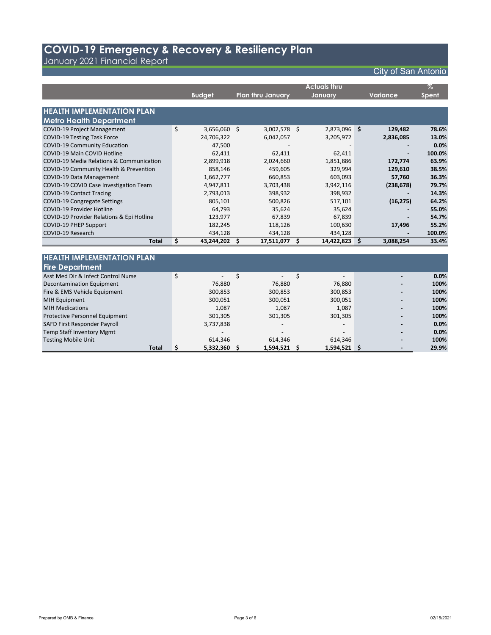|                                                     |         |               |                          |             | <b>Actuals thru</b> |              |                 | $\%$         |
|-----------------------------------------------------|---------|---------------|--------------------------|-------------|---------------------|--------------|-----------------|--------------|
|                                                     |         | <b>Budget</b> | <b>Plan thru January</b> |             | January             |              | <b>Variance</b> | <b>Spent</b> |
|                                                     |         |               |                          |             |                     |              |                 |              |
| <b>HEALTH IMPLEMENTATION PLAN</b>                   |         |               |                          |             |                     |              |                 |              |
| <b>Metro Health Department</b>                      |         |               |                          |             |                     |              |                 |              |
| <b>COVID-19 Project Management</b>                  | $\zeta$ | 3,656,060 \$  | $3,002,578$ \$           |             | 2,873,096 \$        |              | 129,482         | 78.6%        |
| <b>COVID-19 Testing Task Force</b>                  |         | 24,706,322    | 6,042,057                |             | 3,205,972           |              | 2,836,085       | 13.0%        |
| <b>COVID-19 Community Education</b>                 |         | 47,500        |                          |             |                     |              |                 | 0.0%         |
| <b>COVID-19 Main COVID Hotline</b>                  |         | 62,411        | 62,411                   |             | 62,411              |              |                 | 100.0%       |
| <b>COVID-19 Media Relations &amp; Communication</b> |         | 2,899,918     | 2,024,660                |             | 1,851,886           |              | 172,774         | 63.9%        |
| COVID-19 Community Health & Prevention              |         | 858,146       | 459,605                  |             | 329,994             |              | 129,610         | 38.5%        |
| <b>COVID-19 Data Management</b>                     |         | 1,662,777     | 660,853                  |             | 603,093             |              | 57,760          | 36.3%        |
| COVID-19 COVID Case Investigation Team              |         | 4,947,811     | 3,703,438                |             | 3,942,116           |              | (238, 678)      | 79.7%        |
| <b>COVID-19 Contact Tracing</b>                     |         | 2,793,013     | 398,932                  |             | 398,932             |              |                 | 14.3%        |
| <b>COVID-19 Congregate Settings</b>                 |         | 805,101       | 500,826                  |             | 517,101             |              | (16, 275)       | 64.2%        |
| <b>COVID-19 Provider Hotline</b>                    |         | 64,793        | 35,624                   |             | 35,624              |              |                 | 55.0%        |
| COVID-19 Provider Relations & Epi Hotline           |         | 123,977       | 67,839                   |             | 67,839              |              |                 | 54.7%        |
| <b>COVID-19 PHEP Support</b>                        |         | 182,245       | 118,126                  |             | 100,630             |              | 17,496          | 55.2%        |
| COVID-19 Research                                   |         | 434,128       | 434,128                  |             | 434,128             |              |                 | 100.0%       |
| <b>Total</b>                                        | \$      | 43,244,202    | \$<br>17,511,077         | \$          | 14,422,823          | $\mathsf{S}$ | 3,088,254       | 33.4%        |
|                                                     |         |               |                          |             |                     |              |                 |              |
| <b>HEALTH IMPLEMENTATION PLAN</b>                   |         |               |                          |             |                     |              |                 |              |
| <b>Fire Department</b>                              |         |               |                          |             |                     |              |                 |              |
| Asst Med Dir & Infect Control Nurse                 | $\zeta$ |               | \$                       | $\varsigma$ | $\overline{a}$      |              |                 | 0.0%         |
| <b>Decontamination Equipment</b>                    |         | 76,880        | 76,880                   |             | 76,880              |              |                 | 100%         |
| Fire & EMS Vehicle Equipment                        |         | 300,853       | 300,853                  |             | 300,853             |              |                 | 100%         |
| <b>MIH Equipment</b>                                |         | 300,051       | 300,051                  |             | 300,051             |              |                 | 100%         |
| <b>MIH Medications</b>                              |         | 1,087         | 1,087                    |             | 1,087               |              |                 | 100%         |
| Protective Personnel Equipment                      |         | 301,305       | 301,305                  |             | 301,305             |              |                 | 100%         |
| SAFD First Responder Payroll                        |         | 3,737,838     |                          |             |                     |              |                 | 0.0%         |
| <b>Temp Staff Inventory Mgmt</b>                    |         |               |                          |             |                     |              |                 | 0.0%         |
| <b>Testing Mobile Unit</b>                          |         | 614,346       | 614,346                  |             | 614,346             |              |                 | 100%         |
| <b>Total</b>                                        | \$      | 5,332,360     | \$<br>1,594,521          | \$          | 1,594,521           | $\zeta$      |                 | 29.9%        |

#### **COVID-19 Emergency & Recovery & Resiliency Plan**

January 2021 Financial Report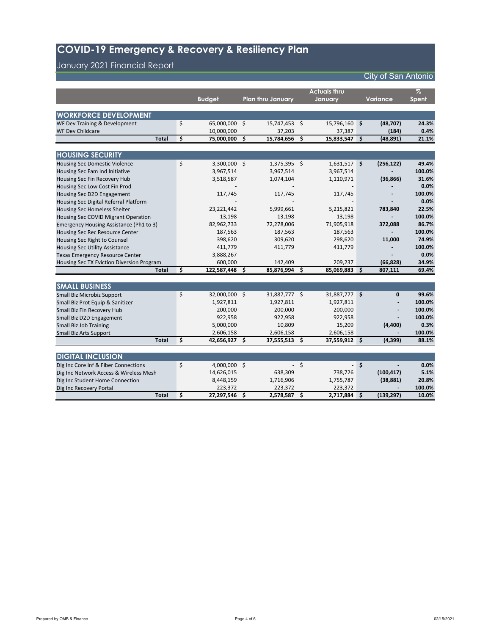|                                           |         |               |                          |     | <b>Actuals thru</b> |            |                 | $\%$         |
|-------------------------------------------|---------|---------------|--------------------------|-----|---------------------|------------|-----------------|--------------|
|                                           |         | <b>Budget</b> | <b>Plan thru January</b> |     | January             |            | <b>Variance</b> | <b>Spent</b> |
|                                           |         |               |                          |     |                     |            |                 |              |
| <b>WORKFORCE DEVELOPMENT</b>              |         |               |                          |     |                     |            |                 |              |
| WF Dev Training & Development             | \$      | 65,000,000    | \$<br>15,747,453         | \$  | 15,796,160 \$       |            | (48, 707)       | 24.3%        |
| <b>WF Dev Childcare</b>                   |         | 10,000,000    | 37,203                   |     | 37,387              |            | (184)           | 0.4%         |
| <b>Total</b>                              | \$      | 75,000,000    | \$<br>15,784,656         | \$  | 15,833,547 \$       |            | (48, 891)       | 21.1%        |
|                                           |         |               |                          |     |                     |            |                 |              |
| <b>HOUSING SECURITY</b>                   |         |               |                          |     |                     |            |                 |              |
| Housing Sec Domestic Violence             | $\zeta$ | 3,300,000     | \$<br>$1,375,395$ \$     |     | $1,631,517$ \$      |            | (256, 122)      | 49.4%        |
| Housing Sec Fam Ind Initiative            |         | 3,967,514     | 3,967,514                |     | 3,967,514           |            |                 | 100.0%       |
| Housing Sec Fin Recovery Hub              |         | 3,518,587     | 1,074,104                |     | 1,110,971           |            | (36, 866)       | 31.6%        |
| Housing Sec Low Cost Fin Prod             |         |               |                          |     |                     |            |                 | 0.0%         |
| Housing Sec D2D Engagement                |         | 117,745       | 117,745                  |     | 117,745             |            |                 | 100.0%       |
| Housing Sec Digital Referral Platform     |         |               |                          |     |                     |            |                 | 0.0%         |
| Housing Sec Homeless Shelter              |         | 23,221,442    | 5,999,661                |     | 5,215,821           |            | 783,840         | 22.5%        |
| Housing Sec COVID Migrant Operation       |         | 13,198        | 13,198                   |     | 13,198              |            |                 | 100.0%       |
| Emergency Housing Assistance (Ph1 to 3)   |         | 82,962,733    | 72,278,006               |     | 71,905,918          |            | 372,088         | 86.7%        |
| Housing Sec Rec Resource Center           |         | 187,563       | 187,563                  |     | 187,563             |            |                 | 100.0%       |
| Housing Sec Right to Counsel              |         | 398,620       | 309,620                  |     | 298,620             |            | 11,000          | 74.9%        |
| <b>Housing Sec Utility Assistance</b>     |         | 411,779       | 411,779                  |     | 411,779             |            |                 | 100.0%       |
| <b>Texas Emergency Resource Center</b>    |         | 3,888,267     |                          |     |                     |            |                 | 0.0%         |
| Housing Sec TX Eviction Diversion Program |         | 600,000       | 142,409                  |     | 209,237             |            | (66, 828)       | 34.9%        |
| <b>Total</b>                              | \$      | 122,587,448   | \$<br>85,876,994         | \$  | 85,069,883          | $\vert$ \$ | 807,111         | 69.4%        |
|                                           |         |               |                          |     |                     |            |                 |              |
| <b>SMALL BUSINESS</b>                     |         |               |                          |     |                     |            |                 |              |
| Small Biz Microbiz Support                | \$      | 32,000,000    | \$<br>31,887,777 \$      |     | 31,887,777 \$       |            | 0               | 99.6%        |
| Small Biz Prot Equip & Sanitizer          |         | 1,927,811     | 1,927,811                |     | 1,927,811           |            |                 | 100.0%       |
| Small Biz Fin Recovery Hub                |         | 200,000       | 200,000                  |     | 200,000             |            |                 | 100.0%       |
| Small Biz D2D Engagement                  |         | 922,958       | 922,958                  |     | 922,958             |            |                 | 100.0%       |
| <b>Small Biz Job Training</b>             |         | 5,000,000     | 10,809                   |     | 15,209              |            | (4,400)         | 0.3%         |
| <b>Small Biz Arts Support</b>             |         | 2,606,158     | 2,606,158                |     | 2,606,158           |            |                 | 100.0%       |
| <b>Total</b>                              | \$      | 42,656,927    | \$<br>37,555,513         | \$. | 37,559,912 \$       |            | (4,399)         | 88.1%        |
|                                           |         |               |                          |     |                     |            |                 |              |
| <b>DIGITAL INCLUSION</b>                  |         |               |                          |     |                     |            |                 |              |
| Dig Inc Core Inf & Fiber Connections      | \$      | 4,000,000 \$  |                          | \$  |                     | $-$ \$     |                 | 0.0%         |
| Dig Inc Network Access & Wireless Mesh    |         | 14,626,015    | 638,309                  |     | 738,726             |            | (100, 417)      | 5.1%         |
| Dig Inc Student Home Connection           |         | 8,448,159     | 1,716,906                |     | 1,755,787           |            | (38, 881)       | 20.8%        |
| Dig Inc Recovery Portal                   |         | 223,372       | 223,372                  |     | 223,372             |            |                 | 100.0%       |
| <b>Total</b>                              | \$      | 27,297,546    | \$<br>2,578,587 \$       |     | $2,717,884$ \$      |            | (139, 297)      | 10.0%        |

### **COVID-19 Emergency & Recovery & Resiliency Plan**

January 2021 Financial Report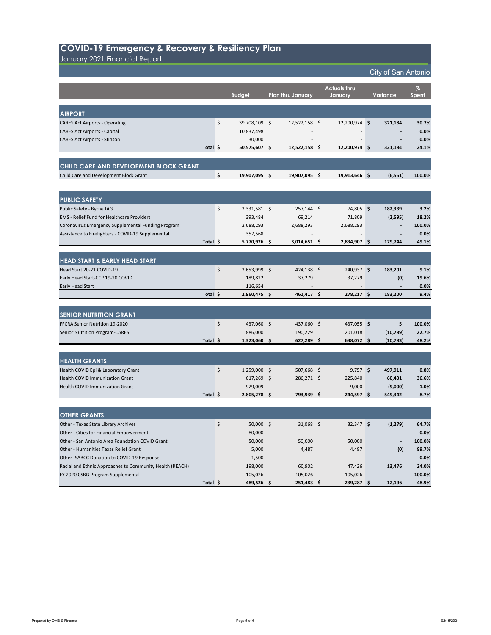January 2021 Financial Report

|                                       | <b>Budget</b> |    | <b>Plan thru January</b> |    | <b>Actuals thru</b><br>January | <b>Variance</b> | $\%$<br>Spent |
|---------------------------------------|---------------|----|--------------------------|----|--------------------------------|-----------------|---------------|
| <b>AIRPORT</b>                        |               |    |                          |    |                                |                 |               |
| <b>CARES Act Airports - Operating</b> | 39,708,109 \$ |    | 12,522,158               | S. | $12,200,974$ \$                | 321,184         | 30.7%         |
| <b>CARES Act Airports - Capital</b>   | 10,837,498    |    | $\overline{\phantom{a}}$ |    | $\overline{\phantom{a}}$       | $\blacksquare$  | 0.0%          |
| <b>CARES Act Airports - Stinson</b>   | 30,000        |    | $\overline{\phantom{a}}$ |    | $\blacksquare$                 | $\blacksquare$  | 0.0%          |
| Total \$                              | 50,575,607    | -S | 12,522,158               |    | $12,200,974$ \$                | 321,184         | 24.1%         |
|                                       |               |    |                          |    |                                |                 |               |

| <b>CHILD CARE AND DEVELOPMENT BLOCK GRANT</b> |            |            |            |          |        |
|-----------------------------------------------|------------|------------|------------|----------|--------|
| Child Care and Development Block Grant        | 19,907,095 | 19,907,095 | 19,913,646 | (6, 551) | 100.0% |

| <b>PUBLIC SAFETY</b>                               |          |                |                 |    |                          |          |                |        |
|----------------------------------------------------|----------|----------------|-----------------|----|--------------------------|----------|----------------|--------|
| Public Safety - Byrne JAG                          |          | $2,331,581$ \$ | $257,144$ \$    |    | 74,805 \$                |          | 182,339        | 3.2%   |
| <b>EMS</b> - Relief Fund for Healthcare Providers  |          | 393,484        | 69,214          |    | 71,809                   |          | (2,595)        | 18.2%  |
| Coronavirus Emergency Supplemental Funding Program |          | 2,688,293      | 2,688,293       |    | 2,688,293                |          | $\blacksquare$ | 100.0% |
| Assistance to Firefighters - COVID-19 Supplemental |          | 357,568        | $\qquad \qquad$ |    | $\overline{\phantom{a}}$ |          | $\blacksquare$ | 0.0%   |
|                                                    | Total \$ | 5,770,926 \$   | 3,014,651       | -S | $2,834,907$ \$           |          | 179,744        | 49.1%  |
|                                                    |          |                |                 |    |                          |          |                |        |
| <b>HEAD START &amp; EARLY HEAD START</b>           |          |                |                 |    |                          |          |                |        |
| Head Start 20-21 COVID-19                          |          | 2,653,999      | 424,138         |    | 240,937                  | <b>S</b> | 183,201        | 9.1%   |

| Total \$                         | 2,960,475 | 461,417                  | 278,217 | 183,200                  | 9.4%            |
|----------------------------------|-----------|--------------------------|---------|--------------------------|-----------------|
| <b>Early Head Start</b>          | 116,654   | $\overline{\phantom{0}}$ |         | $\overline{\phantom{0}}$ | 0.0%            |
| Early Head Start-CCP 19-20 COVID | 189,822   | 37,279                   | 37,279  | (0)                      | 19.6%           |
| TICau Start ZU ZI COVID 19       | 2,0JJ,JJJ | 747,1JU                  | 270,JJ/ | TOJ'TAT                  | $J \cdot L / 0$ |

| <b>SENIOR NUTRITION GRANT</b>         |           |         |         |           |        |
|---------------------------------------|-----------|---------|---------|-----------|--------|
| <b>FFCRA Senior Nutrition 19-2020</b> | 437,060   | 437,060 | 437,055 |           | 100.0% |
| <b>Senior Nutrition Program-CARES</b> | 886,000   | 190,229 | 201,018 | (10,789)  | 22.7%  |
| Total                                 | 1,323,060 | 627,289 | 638,072 | (10, 783) | 48.2%  |

| <b>HEALTH GRANTS</b>                                     |          |                      |                          |             |    |                |        |
|----------------------------------------------------------|----------|----------------------|--------------------------|-------------|----|----------------|--------|
| Health COVID Epi & Laboratory Grant                      |          | \$<br>$1,259,000$ \$ | $507,668$ \$             | $9,757$ \$  |    | 497,911        | 0.8%   |
| <b>Health COVID Immunization Grant</b>                   |          | $617,269$ \$         | $286,271$ \$             | 225,840     |    | 60,431         | 36.6%  |
| <b>Health COVID Immunization Grant</b>                   |          | 929,009              |                          | 9,000       |    | (9,000)        | 1.0%   |
|                                                          | Total \$ | $2,805,278$ \$       | 793,939 \$               | 244,597     | S. | 549,342        | 8.7%   |
|                                                          |          |                      |                          |             |    |                |        |
| <b>OTHER GRANTS</b>                                      |          |                      |                          |             |    |                |        |
| Other - Texas State Library Archives                     |          | \$<br>$50,000$ \$    | $31,068$ \$              | $32,347$ \$ |    | (1, 279)       | 64.7%  |
| Other - Cities for Financial Empowerment                 |          | 80,000               | $\overline{\phantom{a}}$ |             |    | $\blacksquare$ | 0.0%   |
| Other - San Antonio Area Foundation COVID Grant          |          | 50,000               | 50,000                   | 50,000      |    | $\blacksquare$ | 100.0% |
| Other - Humanities Texas Relief Grant                    |          | 5,000                | 4,487                    | 4,487       |    | (0)            | 89.7%  |
| Other-SABCC Donation to COVID-19 Response                |          | 1,500                | $\overline{\phantom{a}}$ |             |    |                | 0.0%   |
| Racial and Ethnic Approaches to Community Health (REACH) |          | 198,000              | 60,902                   | 47,426      |    | 13,476         | 24.0%  |
| FY 2020 CSBG Program Supplemental                        |          | 105,026              | 105,026                  | 105,026     |    |                | 100.0% |
|                                                          | Total \$ | 489,526 \$           | $251,483$ \$             | 239,287     | \$ | 12,196         | 48.9%  |

#### **COVID-19 Emergency & Recovery & Resiliency Plan**